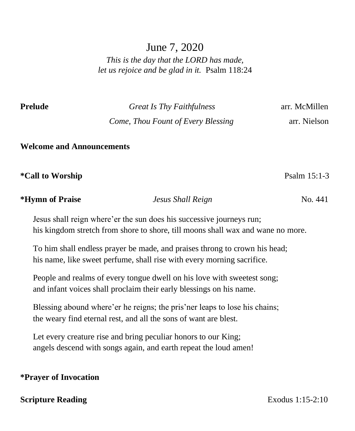# June 7, 2020

*This is the day that the LORD has made, let us rejoice and be glad in it.* Psalm 118:24

**Prelude** *Great Is Thy Faithfulness* arr. McMillen  *Come, Thou Fount of Every Blessing* arr. Nielson

**Welcome and Announcements**

\*Call to Worship **Psalm 15:1-3** 

**\*Hymn of Praise** *Jesus Shall Reign* No. 441

Jesus shall reign where'er the sun does his successive journeys run; his kingdom stretch from shore to shore, till moons shall wax and wane no more.

To him shall endless prayer be made, and praises throng to crown his head; his name, like sweet perfume, shall rise with every morning sacrifice.

People and realms of every tongue dwell on his love with sweetest song; and infant voices shall proclaim their early blessings on his name.

Blessing abound where'er he reigns; the pris'ner leaps to lose his chains; the weary find eternal rest, and all the sons of want are blest.

Let every creature rise and bring peculiar honors to our King; angels descend with songs again, and earth repeat the loud amen!

## **\*Prayer of Invocation**

## **Scripture Reading** Exodus 1:15-2:10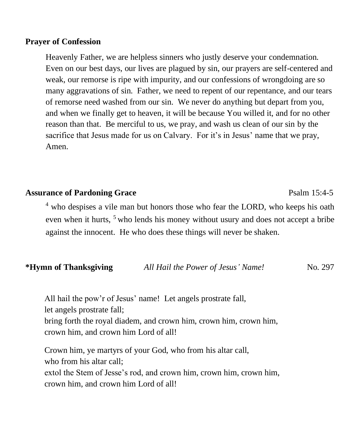#### **Prayer of Confession**

Heavenly Father, we are helpless sinners who justly deserve your condemnation. Even on our best days, our lives are plagued by sin, our prayers are self-centered and weak, our remorse is ripe with impurity, and our confessions of wrongdoing are so many aggravations of sin. Father, we need to repent of our repentance, and our tears of remorse need washed from our sin. We never do anything but depart from you, and when we finally get to heaven, it will be because You willed it, and for no other reason than that. Be merciful to us, we pray, and wash us clean of our sin by the sacrifice that Jesus made for us on Calvary. For it's in Jesus' name that we pray, Amen.

## **Assurance of Pardoning Grace** Psalm 15:4-5

<sup>4</sup> who despises a vile man but honors those who fear the LORD, who keeps his oath even when it hurts,  $5$  who lends his money without usury and does not accept a bribe against the innocent. He who does these things will never be shaken.

## **\*Hymn of Thanksgiving** *All Hail the Power of Jesus' Name!* No. 297

All hail the pow'r of Jesus' name! Let angels prostrate fall, let angels prostrate fall; bring forth the royal diadem, and crown him, crown him, crown him,

crown him, and crown him Lord of all!

Crown him, ye martyrs of your God, who from his altar call, who from his altar call; extol the Stem of Jesse's rod, and crown him, crown him, crown him, crown him, and crown him Lord of all!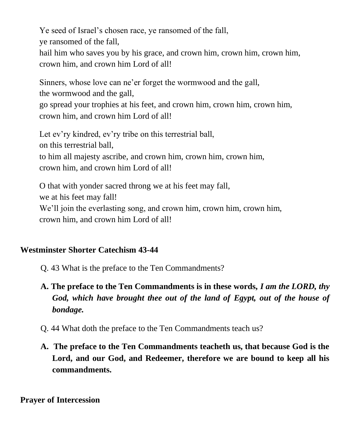Ye seed of Israel's chosen race, ye ransomed of the fall, ye ransomed of the fall, hail him who saves you by his grace, and crown him, crown him, crown him, crown him, and crown him Lord of all!

Sinners, whose love can ne'er forget the wormwood and the gall, the wormwood and the gall,

go spread your trophies at his feet, and crown him, crown him, crown him, crown him, and crown him Lord of all!

Let ev'ry kindred, ev'ry tribe on this terrestrial ball, on this terrestrial ball, to him all majesty ascribe, and crown him, crown him, crown him, crown him, and crown him Lord of all!

O that with yonder sacred throng we at his feet may fall, we at his feet may fall! We'll join the everlasting song, and crown him, crown him, crown him, crown him, and crown him Lord of all!

## **Westminster Shorter Catechism 43-44**

- Q. 43 What is the preface to the Ten Commandments?
- **A. The preface to the Ten Commandments is in these words,** *I am the LORD, thy God, which have brought thee out of the land of Egypt, out of the house of bondage.*
- Q. 44 What doth the preface to the Ten Commandments teach us?
- **A. The preface to the Ten Commandments teacheth us, that because God is the Lord, and our God, and Redeemer, therefore we are bound to keep all his commandments.**

**Prayer of Intercession**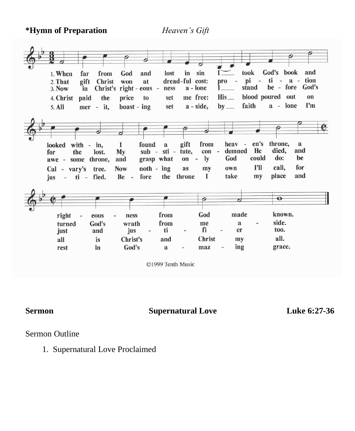**\*Hymn of Preparation** *Heaven's Gift* 



©1999 Tenth Music

**Sermon Supernatural Love Luke 6:27-36**

Sermon Outline

1. Supernatural Love Proclaimed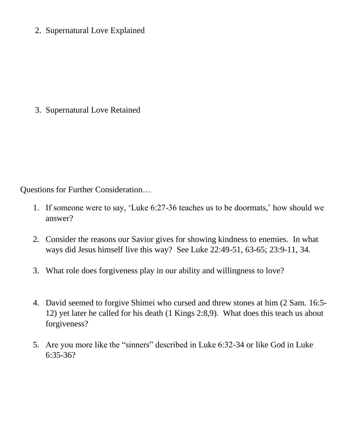2. Supernatural Love Explained

3. Supernatural Love Retained

Questions for Further Consideration…

- 1. If someone were to say, 'Luke 6:27-36 teaches us to be doormats,' how should we answer?
- 2. Consider the reasons our Savior gives for showing kindness to enemies. In what ways did Jesus himself live this way? See Luke 22:49-51, 63-65; 23:9-11, 34.
- 3. What role does forgiveness play in our ability and willingness to love?
- 4. David seemed to forgive Shimei who cursed and threw stones at him (2 Sam. 16:5- 12) yet later he called for his death (1 Kings 2:8,9). What does this teach us about forgiveness?
- 5. Are you more like the "sinners" described in Luke 6:32-34 or like God in Luke 6:35-36?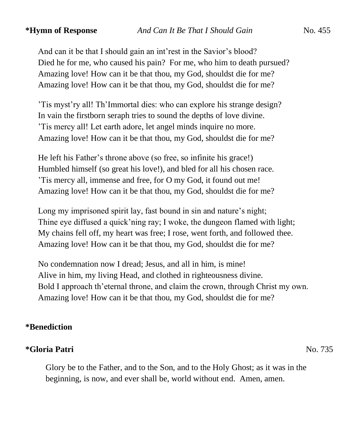And can it be that I should gain an int'rest in the Savior's blood? Died he for me, who caused his pain? For me, who him to death pursued? Amazing love! How can it be that thou, my God, shouldst die for me? Amazing love! How can it be that thou, my God, shouldst die for me?

'Tis myst'ry all! Th'Immortal dies: who can explore his strange design? In vain the firstborn seraph tries to sound the depths of love divine. 'Tis mercy all! Let earth adore, let angel minds inquire no more. Amazing love! How can it be that thou, my God, shouldst die for me?

He left his Father's throne above (so free, so infinite his grace!) Humbled himself (so great his love!), and bled for all his chosen race. 'Tis mercy all, immense and free, for O my God, it found out me! Amazing love! How can it be that thou, my God, shouldst die for me?

Long my imprisoned spirit lay, fast bound in sin and nature's night; Thine eye diffused a quick'ning ray; I woke, the dungeon flamed with light; My chains fell off, my heart was free; I rose, went forth, and followed thee. Amazing love! How can it be that thou, my God, shouldst die for me?

No condemnation now I dread; Jesus, and all in him, is mine! Alive in him, my living Head, and clothed in righteousness divine. Bold I approach th'eternal throne, and claim the crown, through Christ my own. Amazing love! How can it be that thou, my God, shouldst die for me?

## **\*Benediction**

## **\*Gloria Patri** No. 735

Glory be to the Father, and to the Son, and to the Holy Ghost; as it was in the beginning, is now, and ever shall be, world without end. Amen, amen.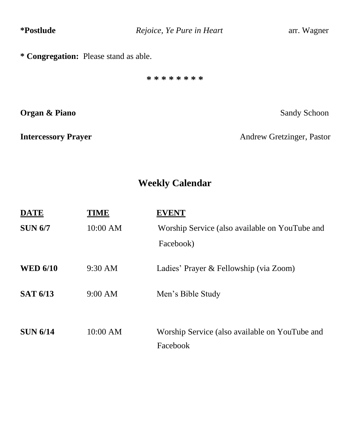| *Postlude                             | Rejoice, Ye Pure in Heart | arr. Wagner               |  |  |  |  |  |
|---------------------------------------|---------------------------|---------------------------|--|--|--|--|--|
| * Congregation: Please stand as able. |                           |                           |  |  |  |  |  |
|                                       | * * * * * * * *           |                           |  |  |  |  |  |
| Organ & Piano                         |                           | Sandy Schoon              |  |  |  |  |  |
| <b>Intercessory Prayer</b>            |                           | Andrew Gretzinger, Pastor |  |  |  |  |  |
|                                       |                           |                           |  |  |  |  |  |
| <b>Weekly Calendar</b>                |                           |                           |  |  |  |  |  |

| TME      |                                                |  |
|----------|------------------------------------------------|--|
| 10:00 AM | Worship Service (also available on YouTube and |  |
|          | Facebook)                                      |  |
| 9:30 AM  | Ladies' Prayer & Fellowship (via Zoom)         |  |
| 9:00 AM  | Men's Bible Study                              |  |
|          |                                                |  |
| 10:00 AM | Worship Service (also available on YouTube and |  |
|          | Facebook                                       |  |
|          |                                                |  |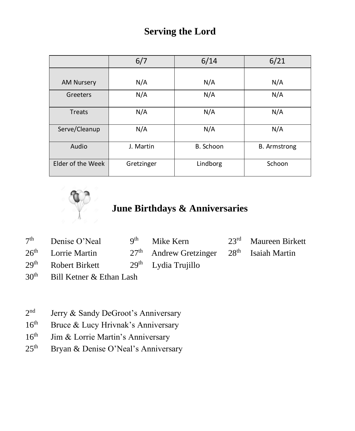## **Serving the Lord**

|                   | 6/7        | 6/14      | 6/21                |
|-------------------|------------|-----------|---------------------|
|                   |            |           |                     |
| <b>AM Nursery</b> | N/A        | N/A       | N/A                 |
| Greeters          | N/A        | N/A       | N/A                 |
| <b>Treats</b>     | N/A        | N/A       | N/A                 |
| Serve/Cleanup     | N/A        | N/A       | N/A                 |
| Audio             | J. Martin  | B. Schoon | <b>B.</b> Armstrong |
| Elder of the Week | Gretzinger | Lindborg  | Schoon              |



# **June Birthdays & Anniversaries**

| $7th$ Denise O'Neal             | 9 <sup>th</sup> Mike Kern                     | $23rd$ Maureen Birkett |
|---------------------------------|-----------------------------------------------|------------------------|
| $26th$ Lorrie Martin            | $27th$ Andrew Gretzinger $28th$ Isaiah Martin |                        |
| 29 <sup>th</sup> Robert Birkett | $29th$ Lydia Trujillo                         |                        |

- 30<sup>th</sup> Bill Ketner & Ethan Lash
- $2<sup>nd</sup>$ Jerry & Sandy DeGroot's Anniversary
- $16<sup>th</sup>$  Bruce & Lucy Hrivnak's Anniversary
- 16<sup>th</sup> Jim & Lorrie Martin's Anniversary
- 25<sup>th</sup> Bryan & Denise O'Neal's Anniversary